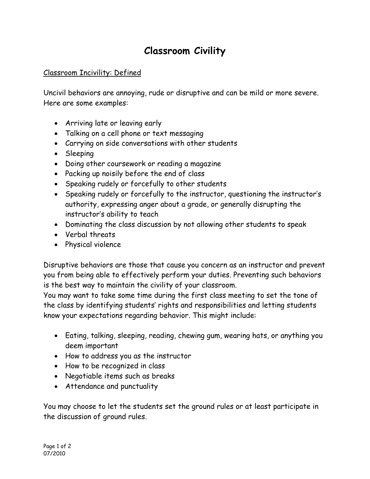## **Classroom Civility**

## Classroom Incivility: Defined

Uncivil behaviors are annoying, rude or disruptive and can be mild or more severe. Here are some examples:

- Arriving late or leaving early
- Talking on a cell phone or text messaging
- Carrying on side conversations with other students
- Sleeping
- Doing other coursework or reading a magazine
- Packing up noisily before the end of class
- Speaking rudely or forcefully to other students
- Speaking rudely or forcefully to the instructor, questioning the instructor's authority, expressing anger about a grade, or generally disrupting the instructor's ability to teach
- Dominating the class discussion by not allowing other students to speak
- Verbal threats
- Physical violence

Disruptive behaviors are those that cause you concern as an instructor and prevent you from being able to effectively perform your duties. Preventing such behaviors is the best way to maintain the civility of your classroom.

You may want to take some time during the first class meeting to set the tone of the class by identifying students' rights and responsibilities and letting students know your expectations regarding behavior. This might include:

- Eating, talking, sleeping, reading, chewing gum, wearing hats, or anything you deem important
- How to address you as the instructor
- How to be recognized in class
- Negotiable items such as breaks
- Attendance and punctuality

You may choose to let the students set the ground rules or at least participate in the discussion of ground rules.